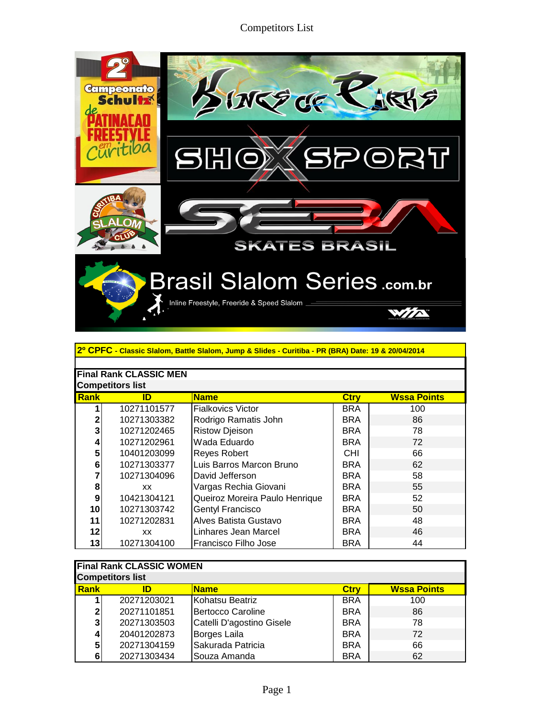## Competitors List



| 2º CPFC - Classic Slalom, Battle Slalom, Jump & Slides - Curitiba - PR (BRA) Date: 19 & 20/04/2014 |                                                        |                                |            |     |  |  |  |
|----------------------------------------------------------------------------------------------------|--------------------------------------------------------|--------------------------------|------------|-----|--|--|--|
|                                                                                                    |                                                        |                                |            |     |  |  |  |
| <b>Final Rank CLASSIC MEN</b>                                                                      |                                                        |                                |            |     |  |  |  |
|                                                                                                    | <b>Competitors list</b>                                |                                |            |     |  |  |  |
| Rank                                                                                               | <b>Ctry</b><br><b>Wssa Points</b><br>ID<br><b>Name</b> |                                |            |     |  |  |  |
|                                                                                                    | 10271101577                                            | <b>Fialkovics Victor</b>       | <b>BRA</b> | 100 |  |  |  |
| 2                                                                                                  | 10271303382                                            | Rodrigo Ramatis John           | <b>BRA</b> | 86  |  |  |  |
| 3                                                                                                  | 10271202465                                            | <b>Ristow Djeison</b>          | <b>BRA</b> | 78  |  |  |  |
| 4                                                                                                  | 10271202961                                            | Wada Eduardo                   | <b>BRA</b> | 72  |  |  |  |
| 5                                                                                                  | 10401203099                                            | Reyes Robert                   | <b>CHI</b> | 66  |  |  |  |
| 6                                                                                                  | 10271303377                                            | Luis Barros Marcon Bruno       | <b>BRA</b> | 62  |  |  |  |
| 7                                                                                                  | 10271304096                                            | David Jefferson                | BRA        | 58  |  |  |  |
| 8                                                                                                  | XX.                                                    | Vargas Rechia Giovani          | BRA        | 55  |  |  |  |
| 9                                                                                                  | 10421304121                                            | Queiroz Moreira Paulo Henrique | <b>BRA</b> | 52  |  |  |  |
| 10                                                                                                 | 10271303742                                            | Gentyl Francisco               | <b>BRA</b> | 50  |  |  |  |
| 11                                                                                                 | 10271202831                                            | Alves Batista Gustavo          | <b>BRA</b> | 48  |  |  |  |
| 12                                                                                                 | XХ                                                     | Linhares Jean Marcel           | <b>BRA</b> | 46  |  |  |  |
| 13                                                                                                 | 10271304100                                            | Francisco Filho Jose           | <b>BRA</b> | 44  |  |  |  |

| <b>Final Rank CLASSIC WOMEN</b><br><b>Competitors list</b> |                                                        |                           |            |     |  |  |  |
|------------------------------------------------------------|--------------------------------------------------------|---------------------------|------------|-----|--|--|--|
| <b>Rank</b>                                                | <b>Wssa Points</b><br><b>Name</b><br><b>Ctry</b><br>ID |                           |            |     |  |  |  |
|                                                            | 20271203021                                            | Kohatsu Beatriz           | <b>BRA</b> | 100 |  |  |  |
| $\mathbf{2}$                                               | 20271101851                                            | <b>Bertocco Caroline</b>  | <b>BRA</b> | 86  |  |  |  |
| 3 <sub>l</sub>                                             | 20271303503                                            | Catelli D'agostino Gisele | <b>BRA</b> | 78  |  |  |  |
| 4                                                          | 20401202873                                            | Borges Laila              | <b>BRA</b> | 72  |  |  |  |
| 5                                                          | 20271304159                                            | Sakurada Patricia         | <b>BRA</b> | 66  |  |  |  |
| 6                                                          | 20271303434                                            | Souza Amanda              | <b>BRA</b> | 62  |  |  |  |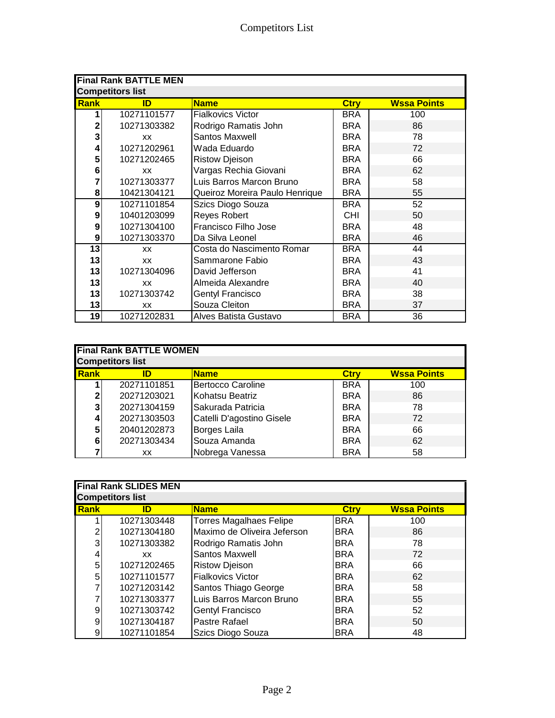| <b>Final Rank BATTLE MEN</b> |             |                                |             |                    |  |
|------------------------------|-------------|--------------------------------|-------------|--------------------|--|
| <b>Competitors list</b>      |             |                                |             |                    |  |
| Rank                         | ID          | <b>Name</b>                    | <b>Ctry</b> | <b>Wssa Points</b> |  |
| 1                            | 10271101577 | <b>Fialkovics Victor</b>       | <b>BRA</b>  | 100                |  |
| $\mathbf 2$                  | 10271303382 | Rodrigo Ramatis John           | <b>BRA</b>  | 86                 |  |
| 3                            | <b>XX</b>   | Santos Maxwell                 | <b>BRA</b>  | 78                 |  |
| 4                            | 10271202961 | Wada Eduardo                   | <b>BRA</b>  | 72                 |  |
| 5                            | 10271202465 | <b>Ristow Djeison</b>          | <b>BRA</b>  | 66                 |  |
| 6                            | <b>XX</b>   | Vargas Rechia Giovani          | <b>BRA</b>  | 62                 |  |
| 7                            | 10271303377 | Luis Barros Marcon Bruno       | <b>BRA</b>  | 58                 |  |
| 8                            | 10421304121 | Queiroz Moreira Paulo Henrique | <b>BRA</b>  | 55                 |  |
| 9                            | 10271101854 | Szics Diogo Souza              | <b>BRA</b>  | 52                 |  |
| 9                            | 10401203099 | Reyes Robert                   | <b>CHI</b>  | 50                 |  |
| 9                            | 10271304100 | Francisco Filho Jose           | <b>BRA</b>  | 48                 |  |
| 9                            | 10271303370 | Da Silva Leonel                | <b>BRA</b>  | 46                 |  |
| 13                           | XX          | Costa do Nascimento Romar      | BRA         | 44                 |  |
| 13                           | <b>XX</b>   | Sammarone Fabio                | <b>BRA</b>  | 43                 |  |
| 13                           | 10271304096 | David Jefferson                | <b>BRA</b>  | 41                 |  |
| 13                           | XX          | Almeida Alexandre              | <b>BRA</b>  | 40                 |  |
| 13                           | 10271303742 | <b>Gentyl Francisco</b>        | <b>BRA</b>  | 38                 |  |
| 13                           | XX          | Souza Cleiton                  | <b>BRA</b>  | 37                 |  |
| 19                           | 10271202831 | Alves Batista Gustavo          | <b>BRA</b>  | 36                 |  |

| <b>Final Rank BATTLE WOMEN</b> |                         |                           |             |                    |  |
|--------------------------------|-------------------------|---------------------------|-------------|--------------------|--|
|                                | <b>Competitors list</b> |                           |             |                    |  |
| <b>Rank</b>                    | ID                      | <b>Name</b>               | <b>Ctry</b> | <b>Wssa Points</b> |  |
|                                | 20271101851             | Bertocco Caroline         | <b>BRA</b>  | 100                |  |
| 2                              | 20271203021             | Kohatsu Beatriz           | <b>BRA</b>  | 86                 |  |
| 3                              | 20271304159             | Sakurada Patricia         | <b>BRA</b>  | 78                 |  |
| 4                              | 20271303503             | Catelli D'agostino Gisele | <b>BRA</b>  | 72                 |  |
| 5                              | 20401202873             | Borges Laila              | <b>BRA</b>  | 66                 |  |
| 6                              | 20271303434             | Souza Amanda              | <b>BRA</b>  | 62                 |  |
|                                | XХ                      | Nobrega Vanessa           | <b>BRA</b>  | 58                 |  |

| <b>Final Rank SLIDES MEN</b> |             |                                |             |                    |  |
|------------------------------|-------------|--------------------------------|-------------|--------------------|--|
| <b>Competitors list</b>      |             |                                |             |                    |  |
| Rank                         | ID          | <b>Name</b>                    | <b>Ctry</b> | <b>Wssa Points</b> |  |
|                              | 10271303448 | <b>Torres Magalhaes Felipe</b> | <b>BRA</b>  | 100                |  |
| 2                            | 10271304180 | Maximo de Oliveira Jeferson    | <b>BRA</b>  | 86                 |  |
| 3                            | 10271303382 | Rodrigo Ramatis John           | <b>BRA</b>  | 78                 |  |
| $\vert 4 \vert$              | XX.         | Santos Maxwell                 | <b>BRA</b>  | 72                 |  |
| 5                            | 10271202465 | <b>Ristow Djeison</b>          | <b>BRA</b>  | 66                 |  |
| 5                            | 10271101577 | <b>Fialkovics Victor</b>       | <b>BRA</b>  | 62                 |  |
| 7                            | 10271203142 | Santos Thiago George           | <b>BRA</b>  | 58                 |  |
|                              | 10271303377 | Luis Barros Marcon Bruno       | <b>BRA</b>  | 55                 |  |
| 9                            | 10271303742 | <b>Gentyl Francisco</b>        | <b>BRA</b>  | 52                 |  |
| 9                            | 10271304187 | Pastre Rafael                  | <b>BRA</b>  | 50                 |  |
| 9                            | 10271101854 | Szics Diogo Souza              | <b>BRA</b>  | 48                 |  |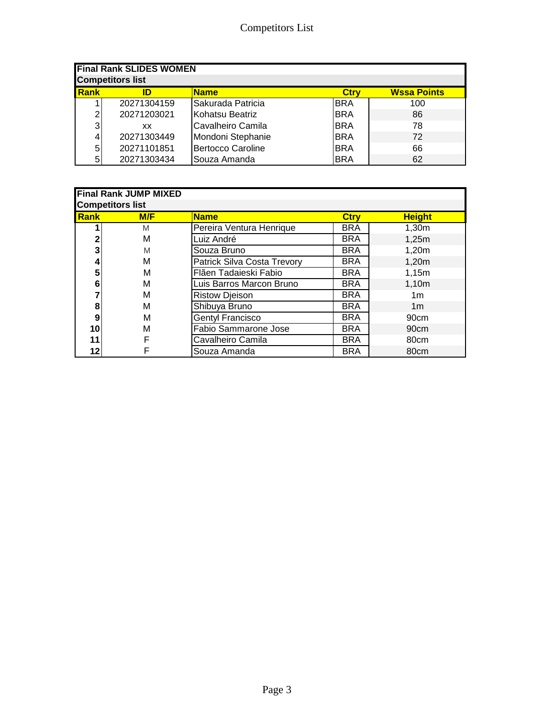| <b>Final Rank SLIDES WOMEN</b><br><b>Competitors list</b>        |             |                          |            |     |  |  |
|------------------------------------------------------------------|-------------|--------------------------|------------|-----|--|--|
| <b>I</b> Rank<br><b>Wssa Points</b><br><b>Name</b><br>Ctry<br>ID |             |                          |            |     |  |  |
|                                                                  | 20271304159 | Sakurada Patricia        | <b>BRA</b> | 100 |  |  |
| 2 <sub>1</sub>                                                   | 20271203021 | Kohatsu Beatriz          | <b>BRA</b> | 86  |  |  |
| $\overline{3}$                                                   | XХ          | Cavalheiro Camila        | <b>BRA</b> | 78  |  |  |
| $\vert$                                                          | 20271303449 | Mondoni Stephanie        | <b>BRA</b> | 72  |  |  |
| 5 <sub>l</sub>                                                   | 20271101851 | <b>Bertocco Caroline</b> | <b>BRA</b> | 66  |  |  |
| 5 <sub>l</sub>                                                   | 20271303434 | Souza Amanda             | <b>BRA</b> | 62  |  |  |

| <b>Final Rank JUMP MIXED</b><br><b>Competitors list</b> |     |                             |             |                  |  |
|---------------------------------------------------------|-----|-----------------------------|-------------|------------------|--|
| Rank                                                    | M/F | <b>Name</b>                 | <b>Ctry</b> | <b>Height</b>    |  |
|                                                         | M   | Pereira Ventura Henrique    | <b>BRA</b>  | 1,30m            |  |
| 2                                                       | М   | Luiz André                  | <b>BRA</b>  | 1,25m            |  |
| 3                                                       | M   | Souza Bruno                 | <b>BRA</b>  | 1,20m            |  |
| 4                                                       | М   | Patrick Silva Costa Trevory | <b>BRA</b>  | 1,20m            |  |
| 5                                                       | м   | Flãen Tadaieski Fabio       | <b>BRA</b>  | 1,15m            |  |
| 6                                                       | м   | Luis Barros Marcon Bruno    | <b>BRA</b>  | 1,10m            |  |
|                                                         | м   | <b>Ristow Djeison</b>       | <b>BRA</b>  | 1m               |  |
| 8                                                       | м   | Shibuya Bruno               | <b>BRA</b>  | 1 <sub>m</sub>   |  |
| 9                                                       | M   | <b>Gentyl Francisco</b>     | <b>BRA</b>  | 90cm             |  |
| 10                                                      | М   | <b>Fabio Sammarone Jose</b> | <b>BRA</b>  | 90 <sub>cm</sub> |  |
| 11                                                      | F   | Cavalheiro Camila           | <b>BRA</b>  | 80cm             |  |
| 12                                                      | F   | Souza Amanda                | <b>BRA</b>  | 80 <sub>cm</sub> |  |